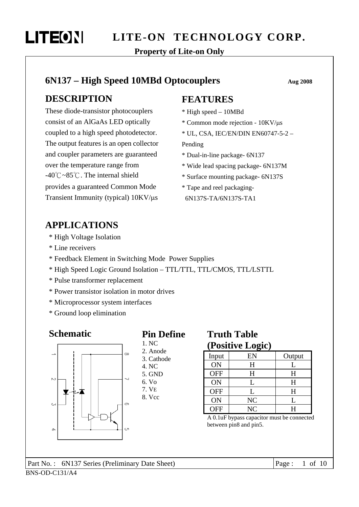# **LITEON**

## **LITE-ON TECHNOLOGY CORP.**

**Property of Lite-on Only** 

### **6N137 – High Speed 10MBd Optocouplers Aug 2008**

## **DESCRIPTION**

These diode-transistor photocouplers consist of an AlGaAs LED optically coupled to a high speed photodetector. The output features is an open collector and coupler parameters are guaranteed over the temperature range from -40℃~85℃. The internal shield provides a guaranteed Common Mode Transient Immunity (typical) 10KV/μs

### **FEATURES**

- \* High speed 10MBd
- \* Common mode rejection 10KV/μs
- \* UL, CSA, IEC/EN/DIN EN60747-5-2 –

#### Pending

- \* Dual-in-line package- 6N137
- \* Wide lead spacing package- 6N137M
- \* Surface mounting package- 6N137S
- \* Tape and reel packaging- 6N137S-TA/6N137S-TA1

### **APPLICATIONS**

- \* High Voltage Isolation
- \* Line receivers
- \* Feedback Element in Switching Mode Power Supplies
- \* High Speed Logic Ground Isolation TTL/TTL, TTL/CMOS, TTL/LSTTL
- \* Pulse transformer replacement
- \* Power transistor isolation in motor drives
- \* Microprocessor system interfaces
- \* Ground loop elimination

### **Schematic**

### **Pin Define**





### **Truth Table (Positive Logic)**

|            | ັ  |        |
|------------|----|--------|
| Input      | EN | Output |
| ON         | H  |        |
| <b>OFF</b> | H  | H      |
| ON         |    | H      |
| <b>OFF</b> |    | H      |
| ON         | NC |        |
| <b>OFF</b> | NC |        |

A 0.1uF bypass capacitor must be connected between pin8 and pin5.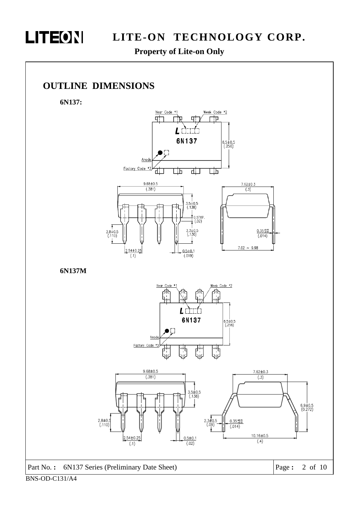

### **Property of Lite-on Only**



**6N137:** 



**6N137M** 

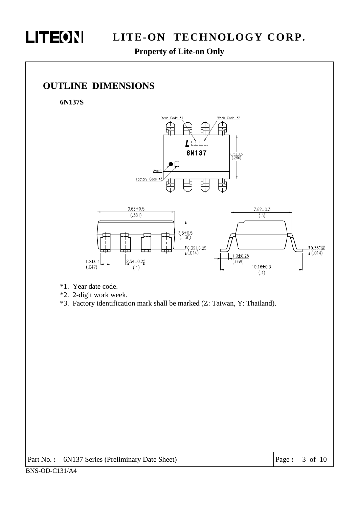

### **Property of Lite-on Only**



- \*1. Year date code.
- \*2. 2-digit work week.
- \*3. Factory identification mark shall be marked (Z: Taiwan, Y: Thailand).

Part No. **:** 6N137 Series (Preliminary Date Sheet) Page **:** 3 of 10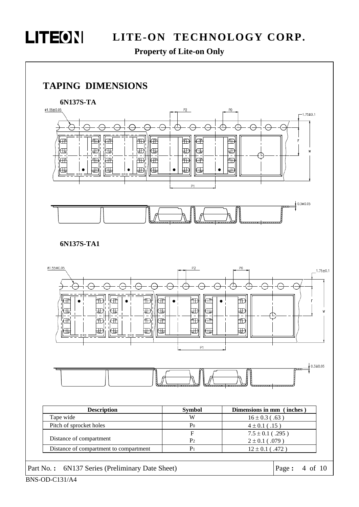



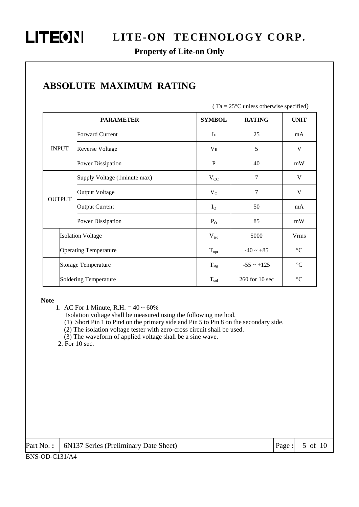**Property of Lite-on Only** 

### **ABSOLUTE MAXIMUM RATING**

 $(Ta = 25^{\circ}C$  unless otherwise specified)

|                            | <b>PARAMETER</b>             | <b>SYMBOL</b>      | <b>RATING</b>   | <b>UNIT</b>     |
|----------------------------|------------------------------|--------------------|-----------------|-----------------|
|                            | <b>Forward Current</b>       |                    | 25              | mA              |
| <b>INPUT</b>               | <b>Reverse Voltage</b>       | $V_{R}$            | 5               | V               |
|                            | <b>Power Dissipation</b>     | P                  | 40              | mW              |
|                            | Supply Voltage (1minute max) | $V_{CC}$           | 7               | V               |
| <b>OUTPUT</b>              | <b>Output Voltage</b>        | $V_{O}$            | 7               | V               |
|                            | <b>Output Current</b>        | $I_{O}$            | 50              | mA              |
|                            | <b>Power Dissipation</b>     | $P_{O}$            | 85              | mW              |
|                            | <b>Isolation Voltage</b>     | $V_{iso}$          | 5000            | <b>Vrms</b>     |
|                            | <b>Operating Temperature</b> | $T_{\mathrm{opr}}$ | $-40 \sim +85$  | $\rm ^{\circ}C$ |
| <b>Storage Temperature</b> |                              | $T_{\text{stg}}$   | $-55 \sim +125$ | $\rm ^{\circ}C$ |
|                            | <b>Soldering Temperature</b> | $T_{sol}$          | 260 for 10 sec  | $\rm ^{\circ}C$ |

#### **Note**

- 1. AC For 1 Minute, R.H.  $= 40 \sim 60\%$ 
	- Isolation voltage shall be measured using the following method.
	- (1) Short Pin 1 to Pin4 on the primary side and Pin 5 to Pin 8 on the secondary side.
	- (2) The isolation voltage tester with zero-cross circuit shall be used.
	- (3) The waveform of applied voltage shall be a sine wave.

2. For 10 sec.

|  | Part No.:   6N137 Series (Preliminary Date Sheet) | Page: $5 \text{ of } 10$ |  |  |  |  |
|--|---------------------------------------------------|--------------------------|--|--|--|--|
|--|---------------------------------------------------|--------------------------|--|--|--|--|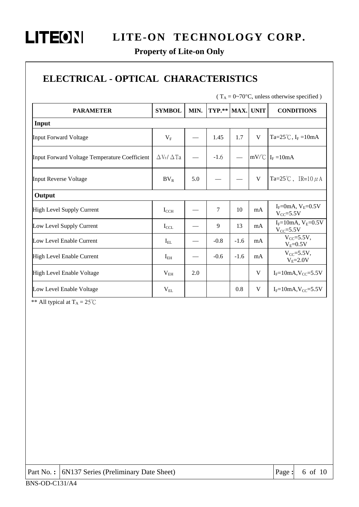## LITEON LITE-ON TECHNOLOGY CORP.

**Property of Lite-on Only** 

### **ELECTRICAL - OPTICAL CHARACTERISTICS**

( $T_A = 0 \sim 70$ °C, unless otherwise specified)

| <b>PARAMETER</b>                              | <b>SYMBOL</b>                         | MIN. | $TYP.*$ | MAX.   | <b>UNIT</b> | <b>CONDITIONS</b>                              |
|-----------------------------------------------|---------------------------------------|------|---------|--------|-------------|------------------------------------------------|
| Input                                         |                                       |      |         |        |             |                                                |
| <b>Input Forward Voltage</b>                  | $V_{\rm F}$                           |      | 1.45    | 1.7    | V           | Ta=25°C, $I_F = 10mA$                          |
| Input Forward Voltage Temperature Coefficient | $\Delta$ V <sub>F</sub> / $\Delta$ Ta |      | $-1.6$  |        |             | $mV^{\circ}C$ $I_F = 10mA$                     |
| <b>Input Reverse Voltage</b>                  | $BV_R$                                | 5.0  |         |        | V           | Ta=25°C, IR=10 $\mu$ A                         |
| Output                                        |                                       |      |         |        |             |                                                |
| <b>High Level Supply Current</b>              | $I_{\rm CCH}$                         |      | 7       | 10     | mA          | $I_F = 0$ mA, $V_E = 0.5V$<br>$V_{CC} = 5.5V$  |
| Low Level Supply Current                      | $I_{\text{CCL}}$                      |      | 9       | 13     | mA          | $I_F = 10$ mA, $V_E = 0.5V$<br>$V_{CC} = 5.5V$ |
| Low Level Enable Current                      | $I_{EL}$                              |      | $-0.8$  | $-1.6$ | mA          | $V_{CC} = 5.5V$ ,<br>$V_E = 0.5V$              |
| High Level Enable Current                     | I <sub>EH</sub>                       |      | $-0.6$  | $-1.6$ | mA          | $V_{CC} = 5.5V$ ,<br>$V_E = 2.0V$              |
| High Level Enable Voltage                     | $V_{EH}$                              | 2.0  |         |        | V           | $I_F=10mA, V_{CC}=5.5V$                        |
| Low Level Enable Voltage                      | $V_{EL}$                              |      |         | 0.8    | V           | $I_F = 10mA, V_{CC} = 5.5V$                    |

\*\* All typical at  $T_A = 25^{\circ}C$ 

Part No. **:** 6N137 Series (Preliminary Date Sheet) Page **:** 6 of 10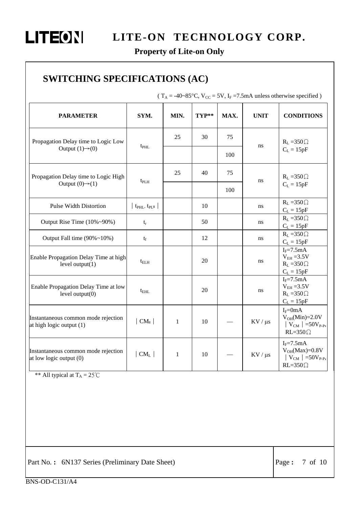## LITEON LITE-ON TECHNOLOGY CORP.

### **Property of Lite-on Only**

| $(T_A = -40-85\degree C, V_{CC} = 5V, I_F = 7.5mA$ unless otherwise specified) |                               |      |       |      |              |                                                                                               |  |  |  |
|--------------------------------------------------------------------------------|-------------------------------|------|-------|------|--------------|-----------------------------------------------------------------------------------------------|--|--|--|
| <b>PARAMETER</b>                                                               | SYM.                          | MIN. | TYP** | MAX. | <b>UNIT</b>  | <b>CONDITIONS</b>                                                                             |  |  |  |
| Propagation Delay time to Logic Low                                            | $t_{\rm PHL}$                 | 25   | 30    | 75   | ns           | $R_L = 350 \Omega$                                                                            |  |  |  |
| Output $(1) \rightarrow (0)$                                                   |                               |      |       | 100  |              | $C_L = 15pF$                                                                                  |  |  |  |
| Propagation Delay time to Logic High                                           | $t_{\rm PLH}$                 | 25   | 40    | 75   |              | $R_L = 350 \Omega$                                                                            |  |  |  |
| Output $(0) \rightarrow (1)$                                                   |                               |      |       | 100  | ns           | $C_L = 15pF$                                                                                  |  |  |  |
| <b>Pulse Width Distortion</b>                                                  | $t_{\rm PHL}$ . $t_{\rm PLH}$ |      | 10    |      | ns           | $R_L = 350 \Omega$<br>$C_L = 15pF$                                                            |  |  |  |
| Output Rise Time (10%~90%)                                                     | $t_r$                         |      | 50    |      | ns           | $R_L = 350 \Omega$<br>$C_L = 15pF$                                                            |  |  |  |
| Output Fall time (90%~10%)                                                     | $t_f$                         |      | 12    |      | ns           | $R_L = 350 \Omega$<br>$C_L = 15pF$                                                            |  |  |  |
| Enable Propagation Delay Time at high<br>level $output(1)$                     | $t_{\rm ELH}$                 |      | 20    |      | ns           | $I_F = 7.5mA$<br>$V_{EH} = 3.5V$<br>$R_L = 350 \Omega$<br>$C_L = 15pF$                        |  |  |  |
| Enable Propagation Delay Time at low<br>level $output(0)$                      | $t_{\rm EHL}$                 |      | 20    |      | ns           | $I_F = 7.5mA$<br>$V_{EH} = 3.5V$<br>$R_L = 350 \Omega$<br>$C_L = 15pF$                        |  |  |  |
| Instantaneous common mode rejection<br>at high logic output (1)                | $\mid$ CM <sub>H</sub> $\mid$ | 1    | 10    |      | $KV / \mu s$ | $I_F = 0mA$<br>$V_{OH}(Min)=2.0V$<br>$ V_{CM}  = 50V_{P-P}$ ,<br>$RL = 350 \Omega$            |  |  |  |
| Instantaneous common mode rejection<br>at low logic output (0)                 | $CM_{L}$                      | 1    | 10    |      | $KV / \mu s$ | $I_F = 7.5mA$<br>$V_{OH}$ (Max)=0.8V<br>$ V_{CM} $ =50V <sub>P-P</sub> ,<br>$RL = 350 \Omega$ |  |  |  |

Part No. **:** 6N137 Series (Preliminary Date Sheet) Page **:** 7 of 10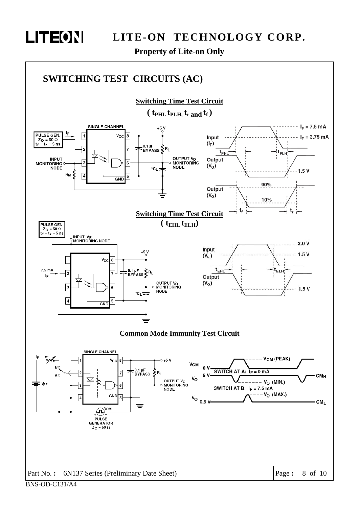### **Property of Lite-on Only**

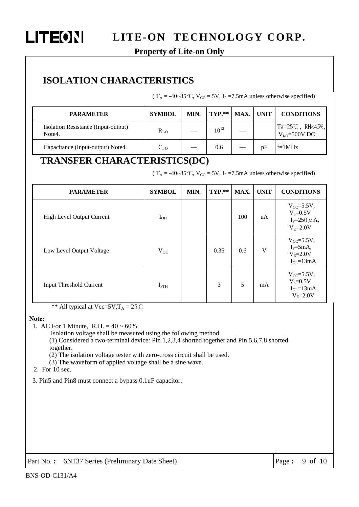### **Property of Lite-on Only**

### **ISOLATION CHARACTERISTICS**

( $T_A = -40-85^{\circ}C$ ,  $V_{CC} = 5V$ ,  $I_F = 7.5mA$  unless otherwise specified)

| <b>PARAMETER</b>                              | <b>SYMBOL</b> | MIN. | $TYP.**$  | MAX.   UNIT |    | <b>CONDITIONS</b>                             |
|-----------------------------------------------|---------------|------|-----------|-------------|----|-----------------------------------------------|
| Isolation Resistance (Input-output)<br>Note4. | $R_{I-O}$     |      | $10^{12}$ |             |    | Ta=25°C, RH<45%,<br>V <sub>I-0</sub> =500V DC |
| Capacitance (Input-output) Note4.             | $C_{I-O}$     |      | 0.6       |             | pF | $f=1MHz$                                      |

### **TRANSFER CHARACTERISTICS(DC)**

( $T_A = -40-85$ °C,  $V_{CC} = 5V$ ,  $I_F = 7.5$ mA unless otherwise specified)

| <b>PARAMETER</b>          | <b>SYMBOL</b>    | MIN. | <b>TYP.**</b> | MAX. | <b>UNIT</b> | <b>CONDITIONS</b>                                                        |
|---------------------------|------------------|------|---------------|------|-------------|--------------------------------------------------------------------------|
| High Level Output Current | $I_{OH}$         |      |               | 100  | uA          | $V_{CC} = 5.5V$ ,<br>$V_0 = 0.5V$<br>$I_F = 250 \mu A$ ,<br>$V_E = 2.0V$ |
| Low Level Output Voltage  | $V_{OL}$         |      | 0.35          | 0.6  | V           | $V_{CC} = 5.5V$ ,<br>$I_F = 5mA$ ,<br>$V_E = 2.0V$<br>$I_{OL} = 13mA$    |
| Input Threshold Current   | $I_{\text{FTH}}$ |      | 3             | 5    | mA          | $V_{CC} = 5.5V$ ,<br>$V_o=0.5V$<br>$I_{OL}$ =13mA,<br>$V_E = 2.0V$       |

\*\* All typical at Vcc=5V, $T_A = 25^{\circ}C$ 

#### **Note:**

1. AC For 1 Minute, R.H. = 40 ~ 60%

Isolation voltage shall be measured using the following method.

(1) Considered a two-terminal device: Pin 1,2,3,4 shorted together and Pin 5,6,7,8 shorted together.

(2) The isolation voltage tester with zero-cross circuit shall be used.

(3) The waveform of applied voltage shall be a sine wave.

2. For 10 sec.

3. Pin5 and Pin8 must connect a bypass 0.1uF capacitor.

#### Part No. **:** 6N137 Series (Preliminary Date Sheet) Page **:** 9 of 10